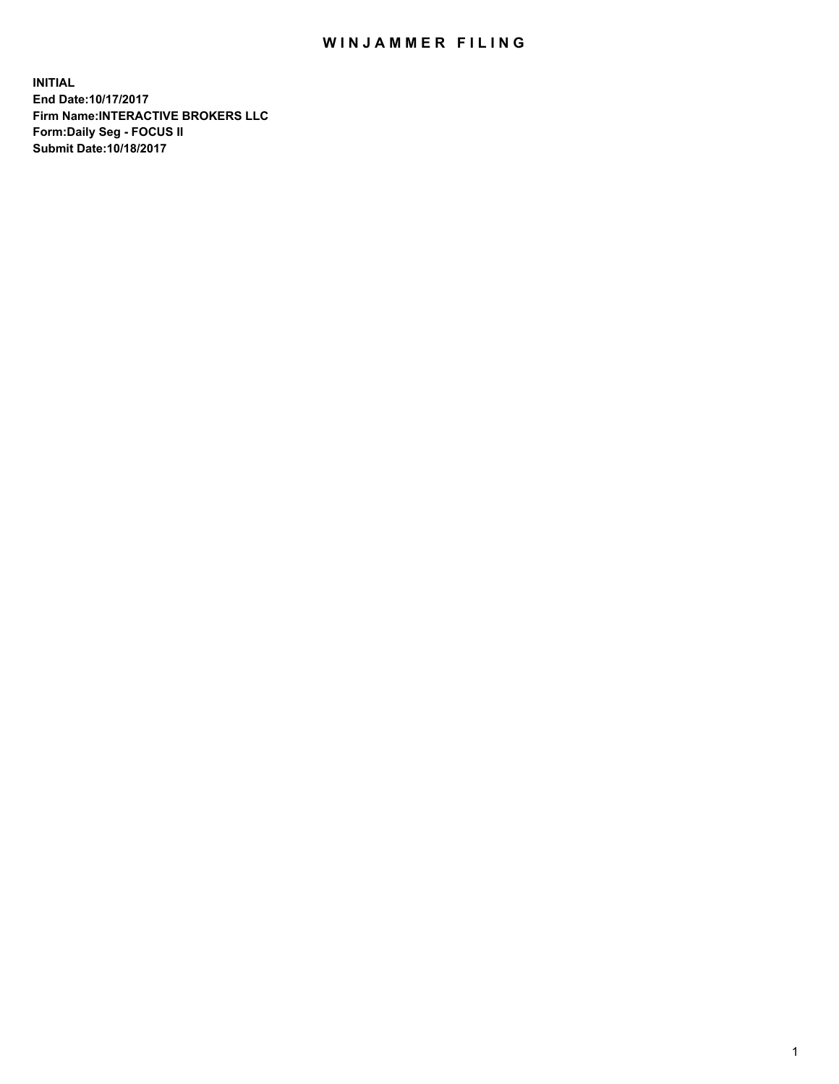## WIN JAMMER FILING

**INITIAL End Date:10/17/2017 Firm Name:INTERACTIVE BROKERS LLC Form:Daily Seg - FOCUS II Submit Date:10/18/2017**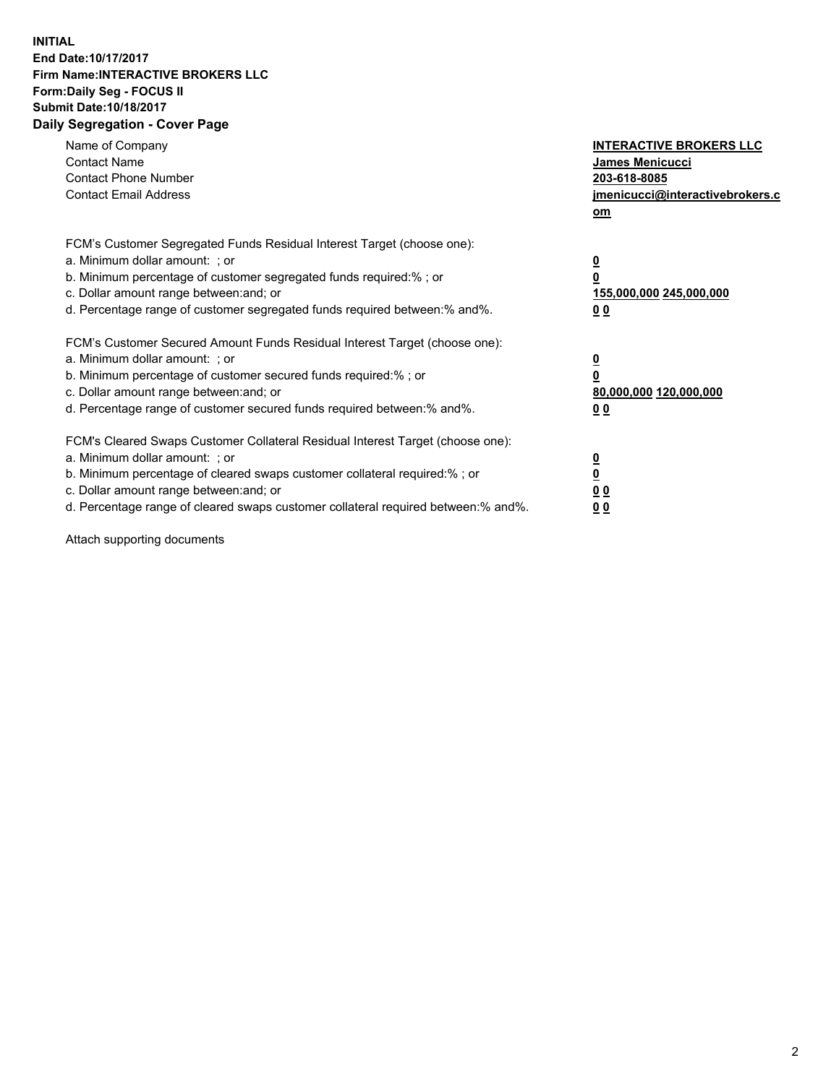## **INITIAL End Date:10/17/2017 Firm Name:INTERACTIVE BROKERS LLC Form:Daily Seg - FOCUS II Submit Date:10/18/2017 Daily Segregation - Cover Page**

| Name of Company<br><b>Contact Name</b><br><b>Contact Phone Number</b><br><b>Contact Email Address</b>                                                                                                                                                                                                                          | <b>INTERACTIVE BROKERS LLC</b><br><b>James Menicucci</b><br>203-618-8085<br>jmenicucci@interactivebrokers.c<br>om |
|--------------------------------------------------------------------------------------------------------------------------------------------------------------------------------------------------------------------------------------------------------------------------------------------------------------------------------|-------------------------------------------------------------------------------------------------------------------|
| FCM's Customer Segregated Funds Residual Interest Target (choose one):<br>a. Minimum dollar amount: ; or<br>b. Minimum percentage of customer segregated funds required:%; or<br>c. Dollar amount range between: and; or<br>d. Percentage range of customer segregated funds required between:% and%.                          | $\overline{\mathbf{0}}$<br>0<br>155,000,000 245,000,000<br>0 <sub>0</sub>                                         |
| FCM's Customer Secured Amount Funds Residual Interest Target (choose one):<br>a. Minimum dollar amount: ; or<br>b. Minimum percentage of customer secured funds required:%; or<br>c. Dollar amount range between: and; or<br>d. Percentage range of customer secured funds required between: % and %.                          | $\overline{\mathbf{0}}$<br>0<br>80,000,000 120,000,000<br>0 <sub>0</sub>                                          |
| FCM's Cleared Swaps Customer Collateral Residual Interest Target (choose one):<br>a. Minimum dollar amount: ; or<br>b. Minimum percentage of cleared swaps customer collateral required:% ; or<br>c. Dollar amount range between: and; or<br>d. Percentage range of cleared swaps customer collateral required between:% and%. | $\overline{\mathbf{0}}$<br>$\overline{\mathbf{0}}$<br>0 <sub>0</sub><br><u>00</u>                                 |

Attach supporting documents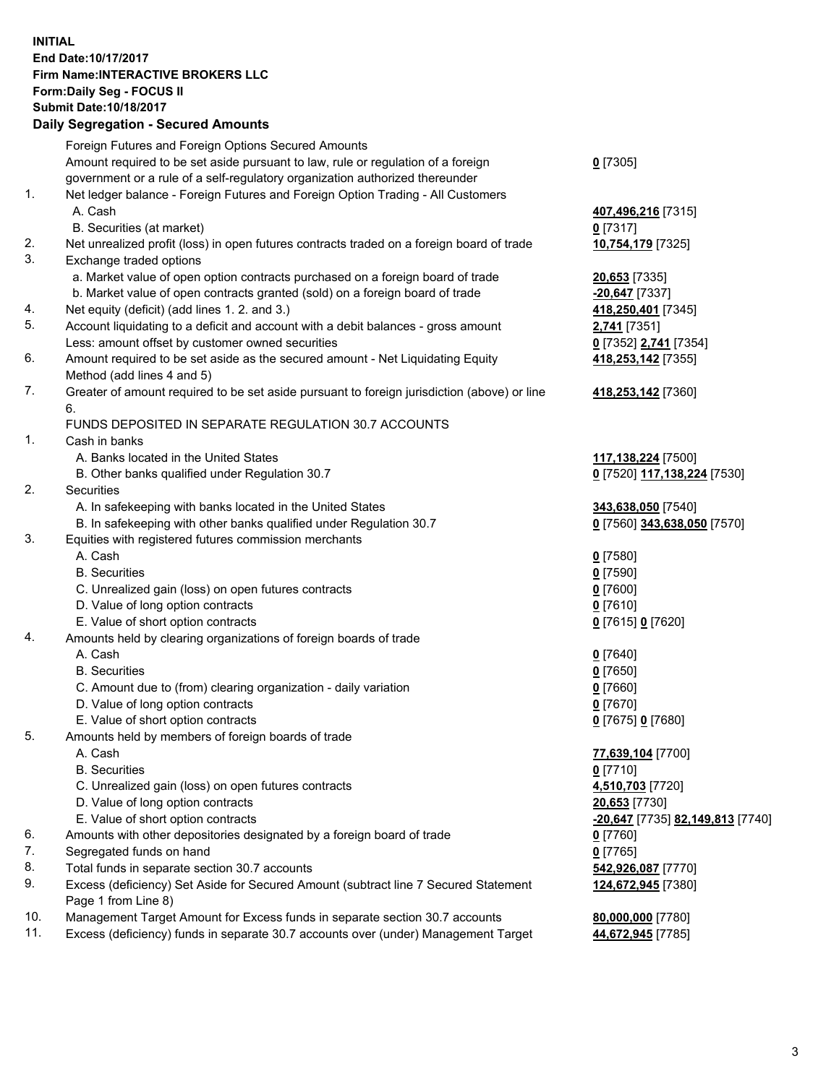## **INITIAL End Date:10/17/2017 Firm Name:INTERACTIVE BROKERS LLC Form:Daily Seg - FOCUS II Submit Date:10/18/2017 Daily Segregation - Secured Amounts**

|     | Daily Segregation - Secured Amounts                                                                        |                                  |
|-----|------------------------------------------------------------------------------------------------------------|----------------------------------|
|     | Foreign Futures and Foreign Options Secured Amounts                                                        |                                  |
|     | Amount required to be set aside pursuant to law, rule or regulation of a foreign                           | $0$ [7305]                       |
|     | government or a rule of a self-regulatory organization authorized thereunder                               |                                  |
| 1.  | Net ledger balance - Foreign Futures and Foreign Option Trading - All Customers                            |                                  |
|     | A. Cash                                                                                                    | 407,496,216 [7315]               |
|     | B. Securities (at market)                                                                                  | $0$ [7317]                       |
| 2.  | Net unrealized profit (loss) in open futures contracts traded on a foreign board of trade                  | 10,754,179 [7325]                |
| 3.  | Exchange traded options                                                                                    |                                  |
|     | a. Market value of open option contracts purchased on a foreign board of trade                             | 20,653 [7335]                    |
|     | b. Market value of open contracts granted (sold) on a foreign board of trade                               | $-20,647$ [7337]                 |
| 4.  | Net equity (deficit) (add lines 1. 2. and 3.)                                                              | 418,250,401 [7345]               |
| 5.  | Account liquidating to a deficit and account with a debit balances - gross amount                          | 2,741 [7351]                     |
|     | Less: amount offset by customer owned securities                                                           | 0 [7352] 2,741 [7354]            |
| 6.  | Amount required to be set aside as the secured amount - Net Liquidating Equity                             | 418,253,142 [7355]               |
|     | Method (add lines 4 and 5)                                                                                 |                                  |
| 7.  | Greater of amount required to be set aside pursuant to foreign jurisdiction (above) or line                | 418,253,142 [7360]               |
|     | 6.                                                                                                         |                                  |
|     | FUNDS DEPOSITED IN SEPARATE REGULATION 30.7 ACCOUNTS                                                       |                                  |
| 1.  | Cash in banks                                                                                              |                                  |
|     | A. Banks located in the United States                                                                      | 117,138,224 [7500]               |
|     | B. Other banks qualified under Regulation 30.7                                                             | 0 [7520] 117,138,224 [7530]      |
| 2.  | <b>Securities</b>                                                                                          |                                  |
|     | A. In safekeeping with banks located in the United States                                                  | 343,638,050 [7540]               |
|     | B. In safekeeping with other banks qualified under Regulation 30.7                                         | 0 [7560] 343,638,050 [7570]      |
| 3.  | Equities with registered futures commission merchants                                                      |                                  |
|     | A. Cash                                                                                                    | $0$ [7580]                       |
|     | <b>B.</b> Securities                                                                                       | $0$ [7590]                       |
|     | C. Unrealized gain (loss) on open futures contracts                                                        | $0$ [7600]                       |
|     | D. Value of long option contracts                                                                          | $0$ [7610]                       |
|     | E. Value of short option contracts                                                                         | 0 [7615] 0 [7620]                |
| 4.  | Amounts held by clearing organizations of foreign boards of trade                                          |                                  |
|     | A. Cash                                                                                                    | $0$ [7640]                       |
|     | <b>B.</b> Securities                                                                                       | $0$ [7650]                       |
|     | C. Amount due to (from) clearing organization - daily variation                                            | $0$ [7660]                       |
|     | D. Value of long option contracts                                                                          | $0$ [7670]                       |
|     | E. Value of short option contracts                                                                         | 0 [7675] 0 [7680]                |
| 5.  | Amounts held by members of foreign boards of trade                                                         |                                  |
|     | A. Cash                                                                                                    | 77,639,104 [7700]                |
|     | <b>B.</b> Securities                                                                                       | $0$ [7710]                       |
|     | C. Unrealized gain (loss) on open futures contracts                                                        | 4,510,703 [7720]                 |
|     | D. Value of long option contracts                                                                          | 20,653 [7730]                    |
|     | E. Value of short option contracts                                                                         | -20,647 [7735] 82,149,813 [7740] |
| 6.  | Amounts with other depositories designated by a foreign board of trade                                     | 0 [7760]                         |
| 7.  | Segregated funds on hand                                                                                   | $0$ [7765]                       |
| 8.  | Total funds in separate section 30.7 accounts                                                              | 542,926,087 [7770]               |
| 9.  | Excess (deficiency) Set Aside for Secured Amount (subtract line 7 Secured Statement<br>Page 1 from Line 8) | 124,672,945 [7380]               |
| 10. | Management Target Amount for Excess funds in separate section 30.7 accounts                                | 80,000,000 [7780]                |
| 11. | Excess (deficiency) funds in separate 30.7 accounts over (under) Management Target                         | 44,672,945 [7785]                |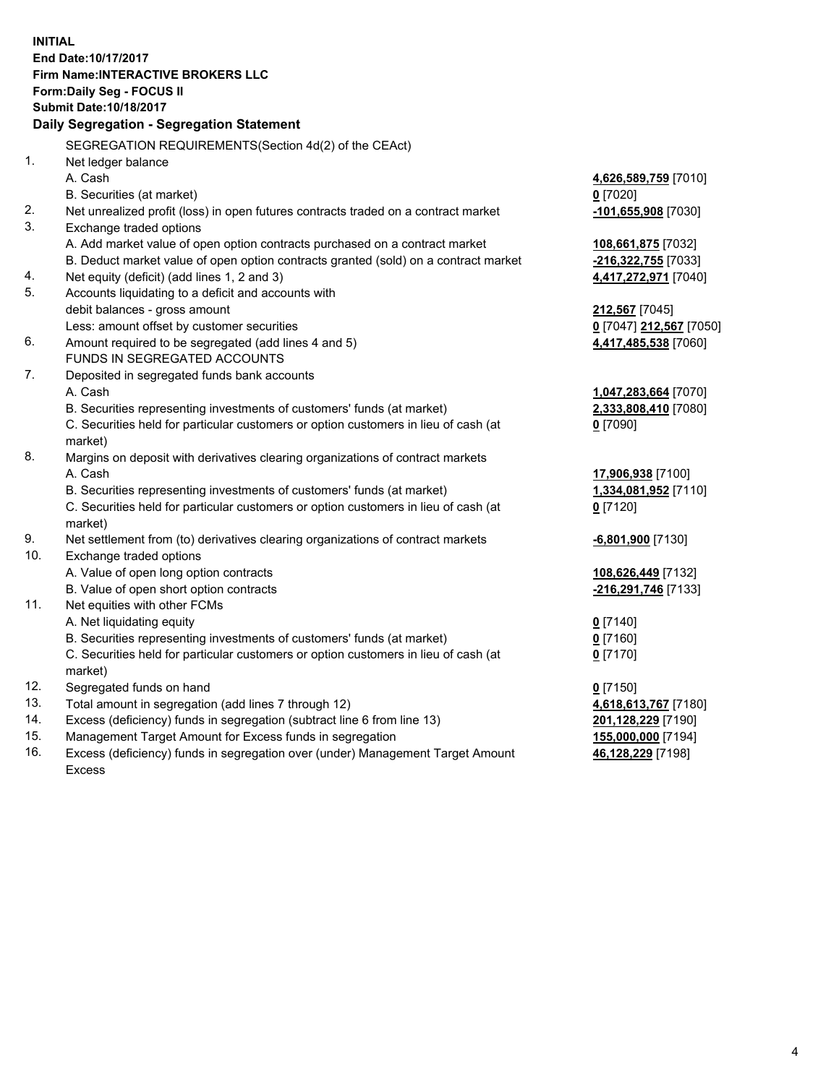**INITIAL End Date:10/17/2017 Firm Name:INTERACTIVE BROKERS LLC Form:Daily Seg - FOCUS II Submit Date:10/18/2017 Daily Segregation - Segregation Statement** SEGREGATION REQUIREMENTS(Section 4d(2) of the CEAct) 1. Net ledger balance A. Cash **4,626,589,759** [7010] B. Securities (at market) **0** [7020] 2. Net unrealized profit (loss) in open futures contracts traded on a contract market **-101,655,908** [7030] 3. Exchange traded options A. Add market value of open option contracts purchased on a contract market **108,661,875** [7032] B. Deduct market value of open option contracts granted (sold) on a contract market **-216,322,755** [7033] 4. Net equity (deficit) (add lines 1, 2 and 3) **4,417,272,971** [7040] 5. Accounts liquidating to a deficit and accounts with debit balances - gross amount **212,567** [7045] Less: amount offset by customer securities **0** [7047] **212,567** [7050] 6. Amount required to be segregated (add lines 4 and 5) **4,417,485,538** [7060] FUNDS IN SEGREGATED ACCOUNTS 7. Deposited in segregated funds bank accounts A. Cash **1,047,283,664** [7070] B. Securities representing investments of customers' funds (at market) **2,333,808,410** [7080] C. Securities held for particular customers or option customers in lieu of cash (at market) **0** [7090] 8. Margins on deposit with derivatives clearing organizations of contract markets A. Cash **17,906,938** [7100] B. Securities representing investments of customers' funds (at market) **1,334,081,952** [7110] C. Securities held for particular customers or option customers in lieu of cash (at market) **0** [7120] 9. Net settlement from (to) derivatives clearing organizations of contract markets **-6,801,900** [7130] 10. Exchange traded options A. Value of open long option contracts **108,626,449** [7132] B. Value of open short option contracts **-216,291,746** [7133] 11. Net equities with other FCMs A. Net liquidating equity **0** [7140] B. Securities representing investments of customers' funds (at market) **0** [7160] C. Securities held for particular customers or option customers in lieu of cash (at market) **0** [7170] 12. Segregated funds on hand **0** [7150] 13. Total amount in segregation (add lines 7 through 12) **4,618,613,767** [7180] 14. Excess (deficiency) funds in segregation (subtract line 6 from line 13) **201,128,229** [7190] 15. Management Target Amount for Excess funds in segregation **155,000,000** [7194] **46,128,229** [7198]

16. Excess (deficiency) funds in segregation over (under) Management Target Amount Excess